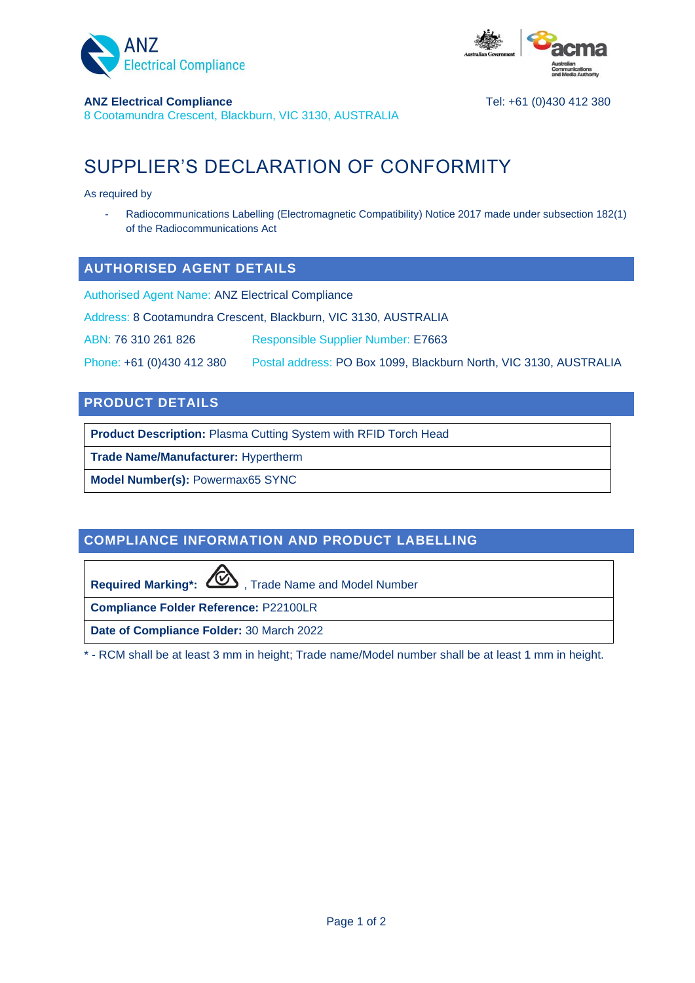



### **ANZ Electrical Compliance** Tel: +61 (0)430 412 380

8 Cootamundra Crescent, Blackburn, VIC 3130, AUSTRALIA

# SUPPLIER'S DECLARATION OF CONFORMITY

As required by

Radiocommunications Labelling (Electromagnetic Compatibility) Notice 2017 made under subsection 182(1) of the Radiocommunications Act

### **AUTHORISED AGENT DETAILS**

Authorised Agent Name: ANZ Electrical Compliance

Address: 8 Cootamundra Crescent, Blackburn, VIC 3130, AUSTRALIA

ABN: 76 310 261 826 Responsible Supplier Number: E7663

Phone: +61 (0)430 412 380 Postal address: PO Box 1099, Blackburn North, VIC 3130, AUSTRALIA

### **PRODUCT DETAILS**

**Product Description:** Plasma Cutting System with RFID Torch Head

**Trade Name/Manufacturer:** Hypertherm

**Model Number(s):** Powermax65 SYNC

## **COMPLIANCE INFORMATION AND PRODUCT LABELLING**

Required Marking\*: **WED**, Trade Name and Model Number

**Compliance Folder Reference:** P22100LR

**Date of Compliance Folder:** 30 March 2022

\* - RCM shall be at least 3 mm in height; Trade name/Model number shall be at least 1 mm in height.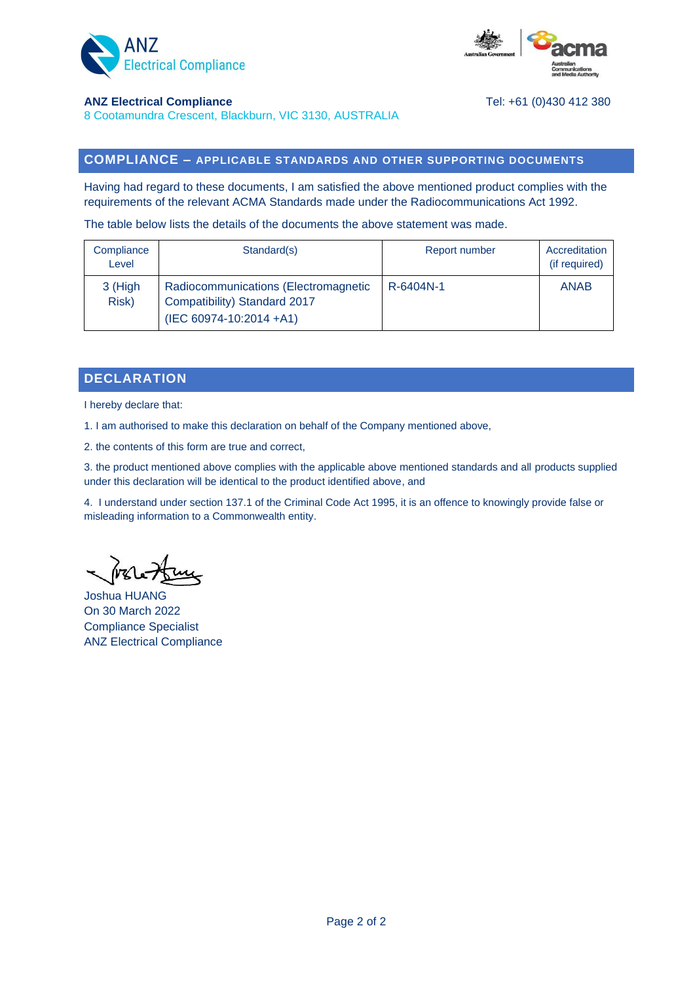



#### **ANZ Electrical Compliance** Tel: +61 (0)430 412 380

8 Cootamundra Crescent, Blackburn, VIC 3130, AUSTRALIA

## **COMPLIANCE – APPLICABLE STANDARDS AND OTHER SUPPORTING DOCUMENTS**

Having had regard to these documents, I am satisfied the above mentioned product complies with the requirements of the relevant ACMA Standards made under the Radiocommunications Act 1992.

The table below lists the details of the documents the above statement was made.

| Compliance<br>Level | Standard(s)                                                                                     | Report number | Accreditation<br>(if required) |
|---------------------|-------------------------------------------------------------------------------------------------|---------------|--------------------------------|
| 3 (High<br>Risk)    | Radiocommunications (Electromagnetic<br>Compatibility) Standard 2017<br>(IEC 60974-10:2014 +A1) | R-6404N-1     | <b>ANAB</b>                    |

### **DECLARATION**

I hereby declare that:

1. I am authorised to make this declaration on behalf of the Company mentioned above,

2. the contents of this form are true and correct,

3. the product mentioned above complies with the applicable above mentioned standards and all products supplied under this declaration will be identical to the product identified above, and

4. I understand under section 137.1 of the Criminal Code Act 1995, it is an offence to knowingly provide false or misleading information to a Commonwealth entity.

Joshua HUANG On 30 March 2022 Compliance Specialist ANZ Electrical Compliance